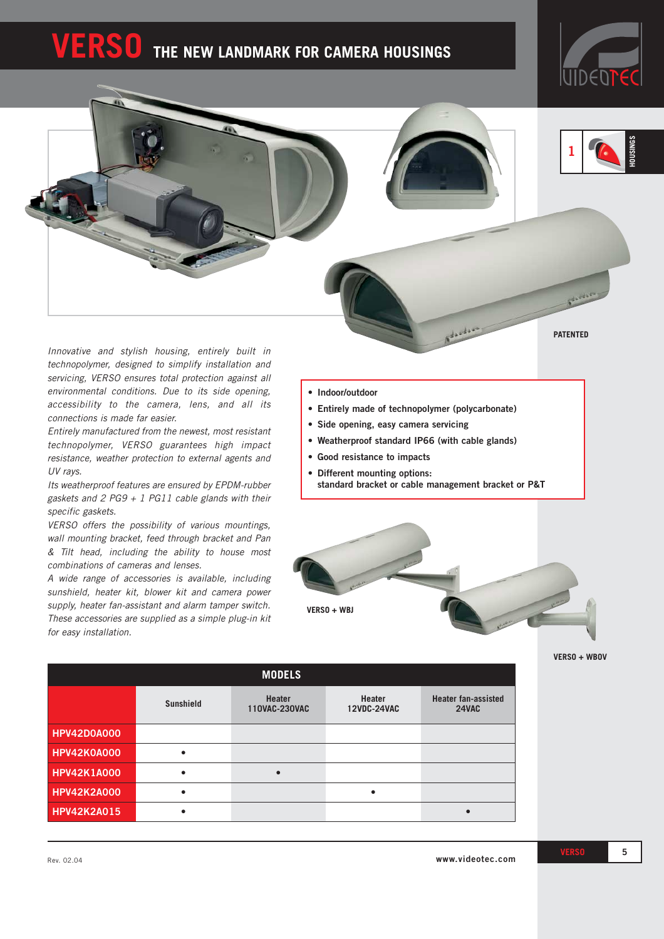# **SO** THE NEW LANDMARK FOR CAMERA HOUSINGS





**PATENTED**

*Innovative and stylish housing, entirely built in technopolymer, designed to simplify installation and servicing, VERSO ensures total protection against all environmental conditions. Due to its side opening, accessibility to the camera, lens, and all its connections is made far easier.*

*Entirely manufactured from the newest, most resistant technopolymer, VERSO guarantees high impact resistance, weather protection to external agents and UV rays.*

*Its weatherproof features are ensured by EPDM-rubber gaskets and 2 PG9 + 1 PG11 cable glands with their specific gaskets.*

*VERSO offers the possibility of various mountings, wall mounting bracket, feed through bracket and Pan & Tilt head, including the ability to house most combinations of cameras and lenses.*

*A wide range of accessories is available, including sunshield, heater kit, blower kit and camera power supply, heater fan-assistant and alarm tamper switch. These accessories are supplied as a simple plug-in kit for easy installation.*

- **• Indoor/outdoor**
- **• Entirely made of technopolymer (polycarbonate)**
- **• Side opening, easy camera servicing**
- **Weatherproof standard IP66 (with cable glands)**
- **• Good resistance to impacts**
- **• Different mounting options: standard bracket or cable management bracket or P&T**



**VERSO + WBOV**

|                    |                  | <b>MODELS</b>                  |                              |                                     |
|--------------------|------------------|--------------------------------|------------------------------|-------------------------------------|
|                    | <b>Sunshield</b> | <b>Heater</b><br>110VAC-230VAC | Heater<br><b>12VDC-24VAC</b> | <b>Heater fan-assisted</b><br>24VAC |
| <b>HPV42D0A000</b> |                  |                                |                              |                                     |
| HPV42K0A000        | $\bullet$        |                                |                              |                                     |
| <b>HPV42K1A000</b> |                  | $\bullet$                      |                              |                                     |
| <b>HPV42K2A000</b> | $\bullet$        |                                | $\bullet$                    |                                     |
| <b>HPV42K2A015</b> |                  |                                |                              |                                     |